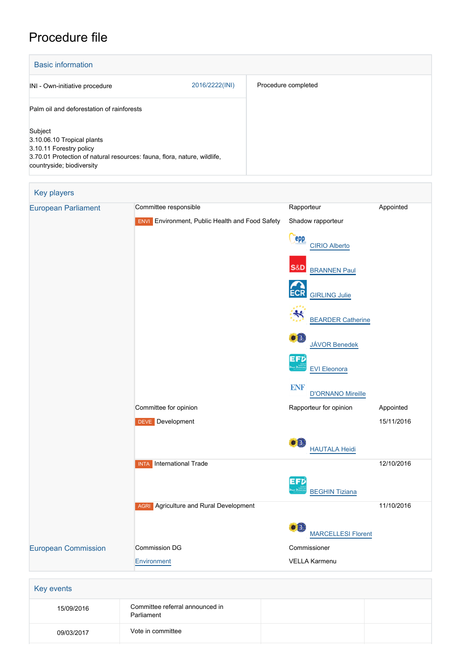# Procedure file

| <b>Basic information</b>                                                                                                                                                  |                |                     |
|---------------------------------------------------------------------------------------------------------------------------------------------------------------------------|----------------|---------------------|
| INI - Own-initiative procedure                                                                                                                                            | 2016/2222(INI) | Procedure completed |
| Palm oil and deforestation of rainforests                                                                                                                                 |                |                     |
| Subject<br>3.10.06.10 Tropical plants<br>3.10.11 Forestry policy<br>3.70.01 Protection of natural resources: fauna, flora, nature, wildlife,<br>countryside; biodiversity |                |                     |



| 15/09/2016 | Committee referral announced in<br>Parliament |  |
|------------|-----------------------------------------------|--|
| 09/03/2017 | Vote in committee                             |  |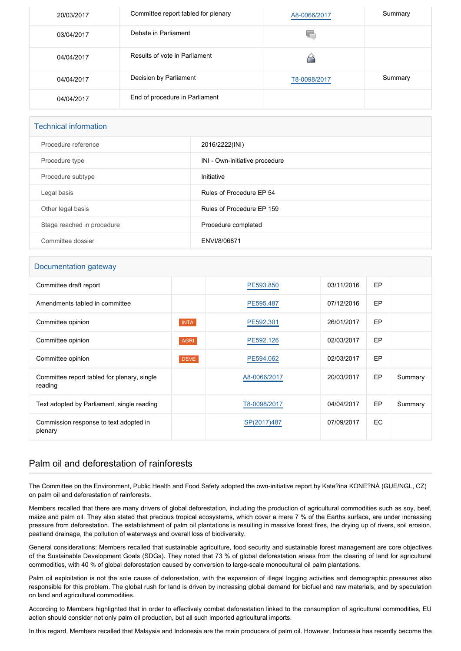| 20/03/2017 | Committee report tabled for plenary | A8-0066/2017 | Summary |
|------------|-------------------------------------|--------------|---------|
| 03/04/2017 | Debate in Parliament                | 46.          |         |
| 04/04/2017 | Results of vote in Parliament       |              |         |
| 04/04/2017 | Decision by Parliament              | T8-0098/2017 | Summary |
| 04/04/2017 | End of procedure in Parliament      |              |         |

### Technical information

| Procedure reference        | 2016/2222(INI)                 |
|----------------------------|--------------------------------|
| Procedure type             | INI - Own-initiative procedure |
| Procedure subtype          | Initiative                     |
| Legal basis                | Rules of Procedure EP 54       |
| Other legal basis          | Rules of Procedure EP 159      |
| Stage reached in procedure | Procedure completed            |
| Committee dossier          | ENVI/8/06871                   |

#### Documentation gateway

| Committee draft report                                 |             | PE593,850    | 03/11/2016 | EP |         |
|--------------------------------------------------------|-------------|--------------|------------|----|---------|
| Amendments tabled in committee                         |             | PE595.487    | 07/12/2016 | EP |         |
| Committee opinion                                      | <b>INTA</b> | PE592.301    | 26/01/2017 | EP |         |
| Committee opinion                                      | <b>AGRI</b> | PE592.126    | 02/03/2017 | EP |         |
| Committee opinion                                      | <b>DEVE</b> | PE594.062    | 02/03/2017 | EP |         |
| Committee report tabled for plenary, single<br>reading |             | A8-0066/2017 | 20/03/2017 | EP | Summary |
| Text adopted by Parliament, single reading             |             | T8-0098/2017 | 04/04/2017 | EP | Summary |
| Commission response to text adopted in<br>plenary      |             | SP(2017)487  | 07/09/2017 | EC |         |

## Palm oil and deforestation of rainforests

The Committee on the Environment, Public Health and Food Safety adopted the own-initiative report by Kate?ina KONE?NÁ (GUE/NGL, CZ) on palm oil and deforestation of rainforests.

Members recalled that there are many drivers of global deforestation, including the production of agricultural commodities such as soy, beef, maize and palm oil. They also stated that precious tropical ecosystems, which cover a mere 7 % of the Earths surface, are under increasing pressure from deforestation. The establishment of palm oil plantations is resulting in massive forest fires, the drying up of rivers, soil erosion, peatland drainage, the pollution of waterways and overall loss of biodiversity.

General considerations: Members recalled that sustainable agriculture, food security and sustainable forest management are core objectives of the Sustainable Development Goals (SDGs). They noted that 73 % of global deforestation arises from the clearing of land for agricultural commodities, with 40 % of global deforestation caused by conversion to large-scale monocultural oil palm plantations.

Palm oil exploitation is not the sole cause of deforestation, with the expansion of illegal logging activities and demographic pressures also responsible for this problem. The global rush for land is driven by increasing global demand for biofuel and raw materials, and by speculation on land and agricultural commodities.

According to Members highlighted that in order to effectively combat deforestation linked to the consumption of agricultural commodities, EU action should consider not only palm oil production, but all such imported agricultural imports.

In this regard, Members recalled that Malaysia and Indonesia are the main producers of palm oil. However, Indonesia has recently become the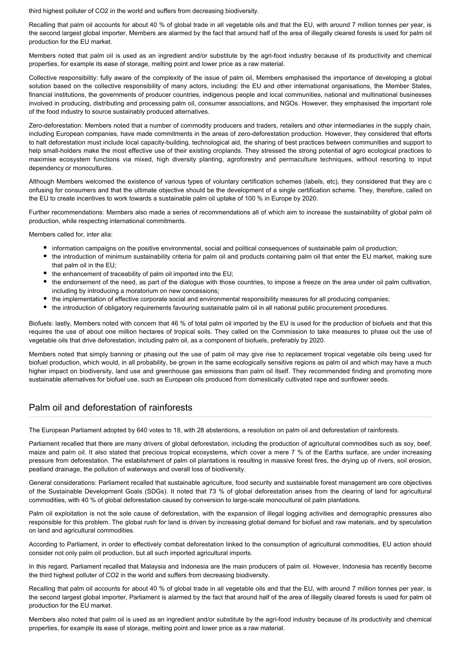third highest polluter of CO2 in the world and suffers from decreasing biodiversity.

Recalling that palm oil accounts for about 40 % of global trade in all vegetable oils and that the EU, with around 7 million tonnes per year, is the second largest global importer, Members are alarmed by the fact that around half of the area of illegally cleared forests is used for palm oil production for the EU market.

Members noted that palm oil is used as an ingredient and/or substitute by the agri-food industry because of its productivity and chemical properties, for example its ease of storage, melting point and lower price as a raw material.

Collective responsibility: fully aware of the complexity of the issue of palm oil, Members emphasised the importance of developing a global solution based on the collective responsibility of many actors, including: the EU and other international organisations, the Member States, financial institutions, the governments of producer countries, indigenous people and local communities, national and multinational businesses involved in producing, distributing and processing palm oil, consumer associations, and NGOs. However, they emphasised the important role of the food industry to source sustainably produced alternatives.

Zero-deforestation: Members noted that a number of commodity producers and traders, retailers and other intermediaries in the supply chain, including European companies, have made commitments in the areas of zero-deforestation production. However, they considered that efforts to halt deforestation must include local capacity-building, technological aid, the sharing of best practices between communities and support to help small-holders make the most effective use of their existing croplands. They stressed the strong potential of agro ecological practices to maximise ecosystem functions via mixed, high diversity planting, agroforestry and permaculture techniques, without resorting to input dependency or monocultures.

Although Members welcomed the existence of various types of voluntary certification schemes (labels, etc), they considered that they are c onfusing for consumers and that the ultimate objective should be the development of a single certification scheme. They, therefore, called on the EU to create incentives to work towards a sustainable palm oil uptake of 100 % in Europe by 2020.

Further recommendations: Members also made a series of recommendations all of which aim to increase the sustainability of global palm oil production, while respecting international commitments.

Members called for, inter alia:

- information campaigns on the positive environmental, social and political consequences of sustainable palm oil production;
- the introduction of minimum sustainability criteria for palm oil and products containing palm oil that enter the EU market, making sure that palm oil in the EU;
- the enhancement of traceability of palm oil imported into the EU;
- the endorsement of the need, as part of the dialogue with those countries, to impose a freeze on the area under oil palm cultivation, including by introducing a moratorium on new concessions;
- the implementation of effective corporate social and environmental responsibility measures for all producing companies;
- the introduction of obligatory requirements favouring sustainable palm oil in all national public procurement procedures.

Biofuels: lastly, Members noted with concern that 46 % of total palm oil imported by the EU is used for the production of biofuels and that this requires the use of about one million hectares of tropical soils. They called on the Commission to take measures to phase out the use of vegetable oils that drive deforestation, including palm oil, as a component of biofuels, preferably by 2020.

Members noted that simply banning or phasing out the use of palm oil may give rise to replacement tropical vegetable oils being used for biofuel production, which would, in all probability, be grown in the same ecologically sensitive regions as palm oil and which may have a much higher impact on biodiversity, land use and greenhouse gas emissions than palm oil itself. They recommended finding and promoting more sustainable alternatives for biofuel use, such as European oils produced from domestically cultivated rape and sunflower seeds.

## Palm oil and deforestation of rainforests

The European Parliament adopted by 640 votes to 18, with 28 abstentions, a resolution on palm oil and deforestation of rainforests.

Parliament recalled that there are many drivers of global deforestation, including the production of agricultural commodities such as soy, beef, maize and palm oil. It also stated that precious tropical ecosystems, which cover a mere 7 % of the Earths surface, are under increasing pressure from deforestation. The establishment of palm oil plantations is resulting in massive forest fires, the drying up of rivers, soil erosion, peatland drainage, the pollution of waterways and overall loss of biodiversity.

General considerations: Parliament recalled that sustainable agriculture, food security and sustainable forest management are core objectives of the Sustainable Development Goals (SDGs). It noted that 73 % of global deforestation arises from the clearing of land for agricultural commodities, with 40 % of global deforestation caused by conversion to large-scale monocultural oil palm plantations.

Palm oil exploitation is not the sole cause of deforestation, with the expansion of illegal logging activities and demographic pressures also responsible for this problem. The global rush for land is driven by increasing global demand for biofuel and raw materials, and by speculation on land and agricultural commodities.

According to Parliament, in order to effectively combat deforestation linked to the consumption of agricultural commodities, EU action should consider not only palm oil production, but all such imported agricultural imports.

In this regard, Parliament recalled that Malaysia and Indonesia are the main producers of palm oil. However, Indonesia has recently become the third highest polluter of CO2 in the world and suffers from decreasing biodiversity.

Recalling that palm oil accounts for about 40 % of global trade in all vegetable oils and that the EU, with around 7 million tonnes per year, is the second largest global importer, Parliament is alarmed by the fact that around half of the area of illegally cleared forests is used for palm oil production for the EU market.

Members also noted that palm oil is used as an ingredient and/or substitute by the agri-food industry because of its productivity and chemical properties, for example its ease of storage, melting point and lower price as a raw material.